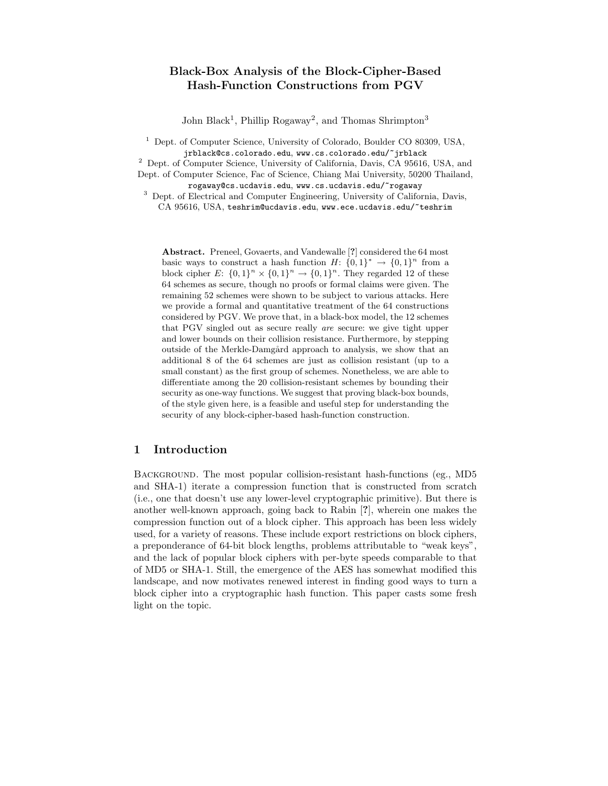# Black-Box Analysis of the Block-Cipher-Based Hash-Function Constructions from PGV

John Black<sup>1</sup>, Phillip Rogaway<sup>2</sup>, and Thomas Shrimpton<sup>3</sup>

<sup>1</sup> Dept. of Computer Science, University of Colorado, Boulder CO 80309, USA, jrblack@cs.colorado.edu, www.cs.colorado.edu/~jrblack

<sup>2</sup> Dept. of Computer Science, University of California, Davis, CA 95616, USA, and Dept. of Computer Science, Fac of Science, Chiang Mai University, 50200 Thailand, rogaway@cs.ucdavis.edu, www.cs.ucdavis.edu/~rogaway

 $^3\,$  Dept. of Electrical and Computer Engineering, University of California, Davis, CA 95616, USA, teshrim@ucdavis.edu, www.ece.ucdavis.edu/~teshrim

Abstract. Preneel, Govaerts, and Vandewalle [?] considered the 64 most basic ways to construct a hash function  $H: \{0,1\}^* \to \{0,1\}^n$  from a block cipher E:  $\{0,1\}^n \times \{0,1\}^n \rightarrow \{0,1\}^n$ . They regarded 12 of these 64 schemes as secure, though no proofs or formal claims were given. The remaining 52 schemes were shown to be subject to various attacks. Here we provide a formal and quantitative treatment of the 64 constructions considered by PGV. We prove that, in a black-box model, the 12 schemes that PGV singled out as secure really are secure: we give tight upper and lower bounds on their collision resistance. Furthermore, by stepping outside of the Merkle-Damgård approach to analysis, we show that an additional 8 of the 64 schemes are just as collision resistant (up to a small constant) as the first group of schemes. Nonetheless, we are able to differentiate among the 20 collision-resistant schemes by bounding their security as one-way functions. We suggest that proving black-box bounds, of the style given here, is a feasible and useful step for understanding the security of any block-cipher-based hash-function construction.

## 1 Introduction

BACKGROUND. The most popular collision-resistant hash-functions (eg., MD5 and SHA-1) iterate a compression function that is constructed from scratch (i.e., one that doesn't use any lower-level cryptographic primitive). But there is another well-known approach, going back to Rabin [?], wherein one makes the compression function out of a block cipher. This approach has been less widely used, for a variety of reasons. These include export restrictions on block ciphers, a preponderance of 64-bit block lengths, problems attributable to "weak keys", and the lack of popular block ciphers with per-byte speeds comparable to that of MD5 or SHA-1. Still, the emergence of the AES has somewhat modified this landscape, and now motivates renewed interest in finding good ways to turn a block cipher into a cryptographic hash function. This paper casts some fresh light on the topic.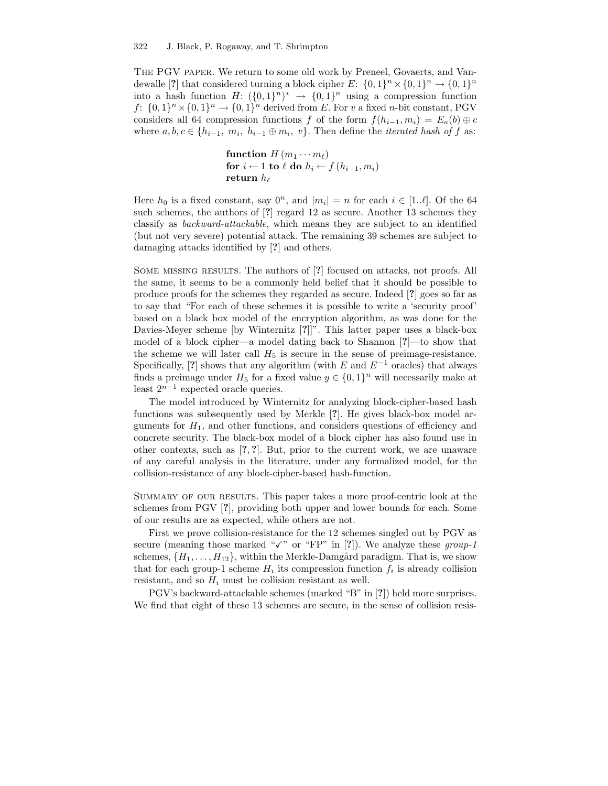The PGV paper. We return to some old work by Preneel, Govaerts, and Vandewalle [?] that considered turning a block cipher E:  $\{0,1\}^n \times \{0,1\}^n \to \{0,1\}^n$ into a hash function  $H: (\{0,1\}^n)^* \to \{0,1\}^n$  using a compression function  $f: \{0,1\}^n \times \{0,1\}^n \to \{0,1\}^n$  derived from E. For v a fixed n-bit constant, PGV considers all 64 compression functions f of the form  $f(h_{i-1}, m_i) = E_a(b) \oplus c$ where  $a, b, c \in \{h_{i-1}, m_i, h_{i-1} \oplus m_i, v\}$ . Then define the *iterated hash of f* as:

```
function H(m_1 \cdots m_\ell)for i \leftarrow 1 to \ell do h_i \leftarrow f(h_{i-1}, m_i)return h_\ell
```
Here  $h_0$  is a fixed constant, say  $0^n$ , and  $|m_i| = n$  for each  $i \in [1..\ell]$ . Of the 64 such schemes, the authors of  $[?]$  regard 12 as secure. Another 13 schemes they classify as backward-attackable, which means they are subject to an identified (but not very severe) potential attack. The remaining 39 schemes are subject to damaging attacks identified by [?] and others.

SOME MISSING RESULTS. The authors of [?] focused on attacks, not proofs. All the same, it seems to be a commonly held belief that it should be possible to produce proofs for the schemes they regarded as secure. Indeed [?] goes so far as to say that "For each of these schemes it is possible to write a 'security proof' based on a black box model of the encryption algorithm, as was done for the Davies-Meyer scheme [by Winternitz [?]]". This latter paper uses a black-box model of a block cipher—a model dating back to Shannon [?]—to show that the scheme we will later call  $H_5$  is secure in the sense of preimage-resistance. Specifically, [?] shows that any algorithm (with E and  $E^{-1}$  oracles) that always finds a preimage under  $H_5$  for a fixed value  $y \in \{0,1\}^n$  will necessarily make at least  $2^{n-1}$  expected oracle queries.

The model introduced by Winternitz for analyzing block-cipher-based hash functions was subsequently used by Merkle [?]. He gives black-box model arguments for  $H_1$ , and other functions, and considers questions of efficiency and concrete security. The black-box model of a block cipher has also found use in other contexts, such as [?, ?]. But, prior to the current work, we are unaware of any careful analysis in the literature, under any formalized model, for the collision-resistance of any block-cipher-based hash-function.

SUMMARY OF OUR RESULTS. This paper takes a more proof-centric look at the schemes from PGV [?], providing both upper and lower bounds for each. Some of our results are as expected, while others are not.

First we prove collision-resistance for the 12 schemes singled out by PGV as secure (meaning those marked " $\checkmark$ " or "FP" in [?]). We analyze these group-1 schemes,  $\{H_1, \ldots, H_{12}\}$ , within the Merkle-Damgård paradigm. That is, we show that for each group-1 scheme  $H_i$  its compression function  $f_i$  is already collision resistant, and so  $H_i$  must be collision resistant as well.

PGV's backward-attackable schemes (marked "B" in [?]) held more surprises. We find that eight of these 13 schemes are secure, in the sense of collision resis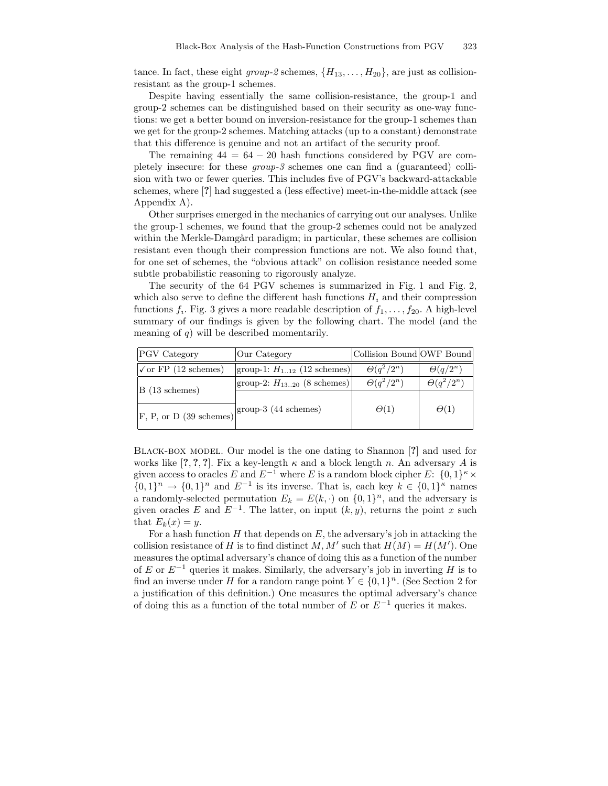tance. In fact, these eight group-2 schemes,  $\{H_{13}, \ldots, H_{20}\}$ , are just as collisionresistant as the group-1 schemes.

Despite having essentially the same collision-resistance, the group-1 and group-2 schemes can be distinguished based on their security as one-way functions: we get a better bound on inversion-resistance for the group-1 schemes than we get for the group-2 schemes. Matching attacks (up to a constant) demonstrate that this difference is genuine and not an artifact of the security proof.

The remaining  $44 = 64 - 20$  hash functions considered by PGV are completely insecure: for these group-3 schemes one can find a (guaranteed) collision with two or fewer queries. This includes five of PGV's backward-attackable schemes, where [?] had suggested a (less effective) meet-in-the-middle attack (see Appendix A).

Other surprises emerged in the mechanics of carrying out our analyses. Unlike the group-1 schemes, we found that the group-2 schemes could not be analyzed within the Merkle-Damgård paradigm; in particular, these schemes are collision resistant even though their compression functions are not. We also found that, for one set of schemes, the "obvious attack" on collision resistance needed some subtle probabilistic reasoning to rigorously analyze.

The security of the 64 PGV schemes is summarized in Fig. 1 and Fig. 2, which also serve to define the different hash functions  $H_i$  and their compression functions  $f_i$ . Fig. 3 gives a more readable description of  $f_1, \ldots, f_{20}$ . A high-level summary of our findings is given by the following chart. The model (and the meaning of  $q$ ) will be described momentarily.

| PGV Category                                                 | Our Category                    | Collision Bound OWF Bound |                   |
|--------------------------------------------------------------|---------------------------------|---------------------------|-------------------|
| $\sqrt{\text{or FP}}$ (12 schemes)                           | group-1: $H_{112}$ (12 schemes) | $\Theta(q^2/2^n)$         | $\Theta(q/2^n)$   |
|                                                              | group-2: $H_{1320}$ (8 schemes) | $\Theta(q^2/2^n)$         | $\Theta(q^2/2^n)$ |
| $B(13$ schemes)                                              |                                 |                           |                   |
| $\vert$ F, P, or D (39 schemes) $\vert$ group-3 (44 schemes) |                                 | $\Theta(1)$               | $\Theta(1)$       |

Black-box model. Our model is the one dating to Shannon [?] and used for works like [?, ?, ?]. Fix a key-length  $\kappa$  and a block length n. An adversary A is given access to oracles E and  $E^{-1}$  where E is a random block cipher E:  $\{0,1\}^{\kappa} \times$  $\{0,1\}^n \to \{0,1\}^n$  and  $E^{-1}$  is its inverse. That is, each key  $k \in \{0,1\}^{\kappa}$  names a randomly-selected permutation  $E_k = E(k, \cdot)$  on  $\{0, 1\}^n$ , and the adversary is given oracles E and  $E^{-1}$ . The latter, on input  $(k, y)$ , returns the point x such that  $E_k(x) = y$ .

For a hash function  $H$  that depends on  $E$ , the adversary's job in attacking the collision resistance of H is to find distinct  $M, M'$  such that  $H(M) = H(M')$ . One measures the optimal adversary's chance of doing this as a function of the number of E or  $E^{-1}$  queries it makes. Similarly, the adversary's job in inverting H is to find an inverse under H for a random range point  $Y \in \{0,1\}^n$ . (See Section 2 for a justification of this definition.) One measures the optimal adversary's chance of doing this as a function of the total number of E or  $E^{-1}$  queries it makes.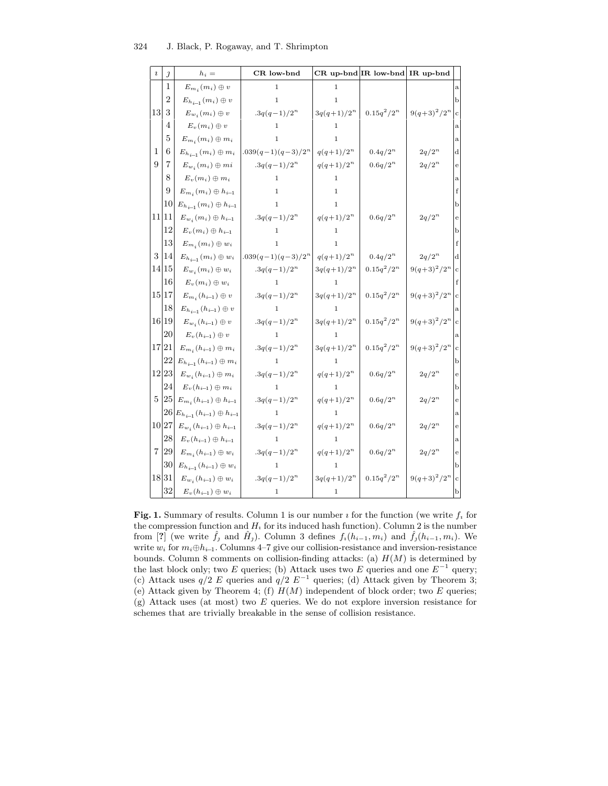| $\imath$ | J      | $h_i =$                                                                  | CR low-bnd          |                      | CR up-bnd IR low-bnd IR up-bnd |                  |          |
|----------|--------|--------------------------------------------------------------------------|---------------------|----------------------|--------------------------------|------------------|----------|
|          | 1      | $E_{m_i}(m_i) \oplus v$                                                  | $\mathbf{1}$        | 1                    |                                |                  |          |
|          | 2      | $E_{h_{i-1}}(m_i) \oplus v$                                              | $\mathbf{1}$        | $\mathbf{1}$         |                                |                  |          |
| 13       | 3      | $E_{w_i}(m_i) \oplus v$                                                  | $.3q(q-1)/2^n$      | $3q(q+1)/2^n$        | $0.15q^2/2^n$                  | $9(q+3)^2/2^n$   |          |
|          | 4      | $E_v(m_i) \oplus v$                                                      | $\mathbf{1}$        | 1                    |                                |                  |          |
|          | 5      | $E_{m_i}(m_i) \oplus m_i$                                                | $\mathbf{1}$        | $\mathbf{1}$         |                                |                  |          |
| 1        | 6      | $E_{h_{i-1}}(m_i) \oplus m_i$                                            | $.039(q-1)(q-3)/2n$ | $\smash{q(q+1)/2^n}$ | $0.4q/2^n$                     | $2q/2^n$         | $\rm{d}$ |
| 9        | 7      | $E_{w_i}(m_i) \oplus mi$                                                 | $.3q(q-1)/2^n$      | $\smash{q(q+1)/2^n}$ | $0.6q/2^n$                     | $2q/2^n$         |          |
|          | 8      | $E_v(m_i) \oplus m_i$                                                    | $\mathbf{1}$        | $\mathbf 1$          |                                |                  |          |
|          | 9      | $E_{m_i}(m_i) \oplus h_{i-1}$                                            | $\mathbf{1}$        | $\mathbf{1}$         |                                |                  |          |
|          | 10     | $E_{h_{i-1}}(m_i) \oplus h_{i-1}$                                        | $\mathbf{1}$        | $\mathbf 1$          |                                |                  | b        |
|          | 11 11  | $E_{w_i}(m_i) \oplus h_{i-1}$                                            | $.3q(q-1)/2^n$      | $\smash{q(q+1)/2^n}$ | $0.6q/2^n$                     | $2q/2^n$         |          |
|          | 12     | $E_v(m_i) \oplus h_{i-1}$                                                | $\mathbf{1}$        | 1                    |                                |                  |          |
|          | 13     | $E_{m_i}(m_i) \oplus w_i$                                                | $\mathbf{1}$        | $\mathbf{1}$         |                                |                  |          |
| 3        | 14     | $E_{h_{i-1}}(m_i)\oplus w_i$                                             | $.039(q-1)(q-3)/2n$ | $q(q+1)/2^n$         | $0.4q/2^n$                     | $2q/2^n$         | $\rm _d$ |
|          | 14 15  | $E_{w_i}(m_i) \oplus w_i$                                                | $.3q(q-1)/2^n$      | $3q(q+1)/2^n$        | $0.15q^2/2^n$                  | $9(q+3)^2/2^n$   |          |
|          | 16     | $E_v(m_i) \oplus w_i$                                                    | 1                   | 1                    |                                |                  |          |
|          | 15 17  | $E_{m_i}(h_{i-1})\oplus v$                                               | $.3q(q-1)/2^n$      | $3q(q+1)/2^n$        | $0.15q^2/2^n$                  | $9(q+3)^2/2^n$ c |          |
|          | 18     | $E_{h_{i-1}}(h_{i-1})\oplus v$                                           | $\mathbf{1}$        | 1                    |                                |                  |          |
|          | 16 19  | $E_{w_i}(h_{i-1})\oplus v$                                               | $.3q(q-1)/2^n$      | $3q(q+1)/2^n$        | $0.15q^2/2^n$                  | $9(q+3)^2/2^n c$ |          |
|          | 20     | $E_v(h_{i-1}) \oplus v$                                                  | $\mathbf{1}$        | 1                    |                                |                  |          |
|          | 1721   | $E_{m_i}(h_{i-1})\oplus m_i$                                             | $.3q(q-1)/2^n$      | $3q(q+1)/2^n$        | $0.15q^2/2^n$                  | $9(q+3)^2/2^n$   |          |
|          | 22     | $E_{h_{i-1}}(h_{i-1})\oplus m_i$                                         | 1                   |                      |                                |                  | Ь        |
|          | 12 23  | $E_{w_i}(h_{i-1}) \oplus m_i$                                            | $.3q(q-1)/2^n$      | $q(q+1)/2^n$         | $0.6q/2^n$                     | $2q/2^n$         |          |
|          | 24     | $E_v(h_{i-1}) \oplus m_i$                                                | $\mathbf{1}$        | 1                    |                                |                  |          |
|          |        | 5 25 $E_{m_i}(h_{i-1}) \oplus h_{i-1}$                                   | $.3q(q-1)/2^n$      | $q(q+1)/2^n$         | $0.6q/2^n$                     | $2q/2^{n}$       |          |
|          |        | $26 E_{h_{i-1}}(h_{i-1}) \oplus h_{i-1}$                                 | 1                   | 1                    |                                |                  | a        |
|          | 10 27  | $E_{w_i}(h_{i-1}) \oplus h_{i-1}$                                        | $.3q(q-1)/2^n$      | $\smash{q(q+1)/2^n}$ | $0.6q/2^n$                     | $2q/2^n$         | e        |
|          | 28     | $E_v(h_{i-1}) \oplus h_{i-1}$                                            | $\mathbf{1}$        | $\mathbf{1}$         |                                |                  |          |
|          | 7 29   | $E_{\left. m_{\,i}\,\left( h_{\,i-1}\right) \,\oplus\, w_{\,i}\right. }$ | $.3q(q-1)/2^n$      | $\smash{q(q+1)/2^n}$ | $0.6q/2^n$                     | $2q/2^n$         |          |
|          | 30I    | $E_{h_{i-1}}(h_{i-1})\oplus w_i$                                         | 1                   |                      |                                |                  |          |
|          | 1831   | $E_{w_i}(h_{i-1}) \oplus w_i$                                            | $.3q(q-1)/2^n$      | $3q(q+1)/2^n$        | $0.15q^2/2^n$                  | $9(q+3)^2/2^n$ c |          |
|          | $32\,$ | $E_v(h_{i-1}) \oplus w_i$                                                | $\mathbf{1}$        | 1                    |                                |                  |          |

**Fig. 1.** Summary of results. Column 1 is our number  $\imath$  for the function (we write  $f_i$  for the compression function and  $H_i$  for its induced hash function). Column 2 is the number from [?] (we write  $f_1$  and  $H_1$ ). Column 3 defines  $f_i(h_{i-1}, m_i)$  and  $f_i(h_{i-1}, m_i)$ . We write  $w_i$  for  $m_i \oplus h_{i-1}$ . Columns 4–7 give our collision-resistance and inversion-resistance bounds. Column 8 comments on collision-finding attacks: (a)  $H(M)$  is determined by the last block only; two E queries; (b) Attack uses two E queries and one  $E^{-1}$  query; (c) Attack uses  $q/2$  E queries and  $q/2$   $E^{-1}$  queries; (d) Attack given by Theorem 3; (e) Attack given by Theorem 4; (f)  $H(M)$  independent of block order; two E queries; (g) Attack uses (at most) two E queries. We do not explore inversion resistance for schemes that are trivially breakable in the sense of collision resistance.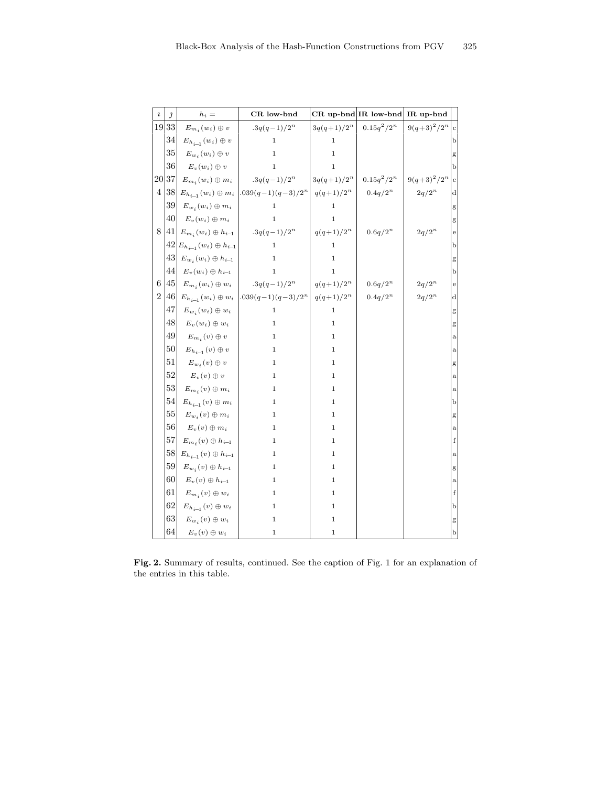| $\imath$       | $\jmath$   | $h_i = % \begin{cases} \sum_{i=1}^n \binom{m}{i} \operatorname{Tr} \big( \prod_{i=1}^n \binom{m}{i} \operatorname{Tr} \big( \prod_{i=1}^n \binom{m}{i} \big) \operatorname{Tr} \big( \prod_{i=1}^n \binom{m}{i} \big) \operatorname{Tr} \big( \prod_{i=1}^n \binom{m}{i} \big) \operatorname{Tr} \big( \prod_{i=1}^n \binom{m}{i} \big) \operatorname{Tr} \big( \prod_{i=1}^n \binom{m}{i} \big) \operatorname{Tr} \big( \prod_{i=1}^n \binom{m$ | CR low-bnd                                                       |                      | CR up-bnd IR low-bnd IR up-bnd |                |                |
|----------------|------------|--------------------------------------------------------------------------------------------------------------------------------------------------------------------------------------------------------------------------------------------------------------------------------------------------------------------------------------------------------------------------------------------------------------------------------------------------|------------------------------------------------------------------|----------------------|--------------------------------|----------------|----------------|
|                | 19 33      | $E_{m_i}(w_i) \oplus v$                                                                                                                                                                                                                                                                                                                                                                                                                          | $.3q(q-1)/2^n$                                                   | $3q(q+1)/2^n$        | $0.15q^2/2^n$                  | $9(q+3)^2/2^n$ |                |
|                | 341        | $E_{h_{i-1}}(w_i) \oplus v$                                                                                                                                                                                                                                                                                                                                                                                                                      | $\mathbf{1}$                                                     | $\mathbf{1}$         |                                |                | b              |
|                | 35         | $E_{w_i}(w_i) \oplus v$                                                                                                                                                                                                                                                                                                                                                                                                                          | $\mathbf{1}$                                                     | $\mathbf{1}$         |                                |                | g              |
|                | 36         | $E_v(w_i) \oplus v$                                                                                                                                                                                                                                                                                                                                                                                                                              | $\mathbf{1}$                                                     | $\mathbf{1}$         |                                |                | b              |
|                | 20 37      | $E_{m_i}(w_i) \oplus m_i$                                                                                                                                                                                                                                                                                                                                                                                                                        | $3q(q-1)/2^n$                                                    | $3q(q+1)/2^n$        | $0.15q^2/2^n$                  | $9(q+3)^2/2^n$ |                |
|                | $4\,$ $38$ |                                                                                                                                                                                                                                                                                                                                                                                                                                                  | $E_{h_{i-1}}(w_i) \oplus m_i$ .039 $(q-1)(q-3)/2^n$ $q(q+1)/2^n$ |                      | $0.4q/2^n$                     | $2q/2^n$       | $\mathbf d$    |
|                | 39         | $E_{w_i}(w_i) \oplus m_i$                                                                                                                                                                                                                                                                                                                                                                                                                        | 1                                                                | 1                    |                                |                | g              |
|                | 40         | $E_v(w_i) \oplus m_i$                                                                                                                                                                                                                                                                                                                                                                                                                            | $\mathbf{1}$                                                     | 1                    |                                |                | g              |
| 8              |            | $ 41  E_{m_i}(w_i) \oplus h_{i-1} $ .3q(q-1)/2 <sup>n</sup>                                                                                                                                                                                                                                                                                                                                                                                      |                                                                  | $q(q+1)/2^n$         | $0.6q/2^n$                     | $2q/2^n$       | $\overline{e}$ |
|                |            | $42 E_{h_{i-1}}(w_i) \oplus h_{i-1}$                                                                                                                                                                                                                                                                                                                                                                                                             | $\mathbf{1}$                                                     | $\mathbf{1}$         |                                |                | b              |
|                |            | 43 $E_{w_i}(w_i) \oplus h_{i-1}$                                                                                                                                                                                                                                                                                                                                                                                                                 | $\mathbf{1}$                                                     | $\mathbf{1}$         |                                |                | g              |
|                |            | 44 $E_v(w_i) \oplus h_{i-1}$                                                                                                                                                                                                                                                                                                                                                                                                                     | $\mathbf{1}$                                                     | $\mathbf{1}$         |                                |                | $\mathbf b$    |
| 6.             | 45         | $E_{m_i}(w_i) \oplus w_i$                                                                                                                                                                                                                                                                                                                                                                                                                        | $3q(q-1)/2^n$                                                    | $\smash{q(q+1)/2^n}$ | $0.6q/2^n$                     | $2q/2^{n}$     | $\mathbf{e}$   |
| $\overline{2}$ | 461        |                                                                                                                                                                                                                                                                                                                                                                                                                                                  | $E_{h_{i-1}}(w_i) \oplus w_i$ .039 $(q-1)(q-3)/2^n$              | $\smash{q(q+1)/2^n}$ | $0.4q/2^n$                     | $2q/2^n$       | $\mathbf d$    |
|                | 47         | $E_{w_i}(w_i) \oplus w_i$                                                                                                                                                                                                                                                                                                                                                                                                                        | 1                                                                | $\mathbf 1$          |                                |                | g              |
|                | 48         | $E_v(w_i) \oplus w_i$                                                                                                                                                                                                                                                                                                                                                                                                                            | $\mathbf{1}$                                                     | $\mathbf{1}$         |                                |                | g              |
|                | 49         | $E_{m_i}(v) \oplus v$                                                                                                                                                                                                                                                                                                                                                                                                                            | $\mathbf{1}$                                                     | $\mathbf{1}$         |                                |                | a              |
|                | 50         | $E_{h_{i-1}}(v) \oplus v$                                                                                                                                                                                                                                                                                                                                                                                                                        | $\mathbf{1}$                                                     | $\mathbf{1}$         |                                |                | $\mathbf{a}$   |
|                | 51         | $E_{w_i}(v) \oplus v$                                                                                                                                                                                                                                                                                                                                                                                                                            | $\mathbf{1}$                                                     | $\mathbf{1}$         |                                |                | g              |
|                | 52         | $E_v(v) \oplus v$                                                                                                                                                                                                                                                                                                                                                                                                                                | $\mathbf{1}$                                                     | $\mathbf{1}$         |                                |                | $\mathbf{a}$   |
|                | 53         | $E_{m_i}(v) \oplus m_i$                                                                                                                                                                                                                                                                                                                                                                                                                          | $\mathbf{1}$                                                     | $\mathbf{1}$         |                                |                | $\mathbf{a}$   |
|                | 54         | $E_{h_{i-1}}(v) \oplus m_i$                                                                                                                                                                                                                                                                                                                                                                                                                      | $\mathbf{1}$                                                     | $\mathbf{1}$         |                                |                | b              |
|                | 55         | $E_{w_i}(v) \oplus m_i$                                                                                                                                                                                                                                                                                                                                                                                                                          | $\mathbf{1}$                                                     | $\mathbf{1}$         |                                |                | g              |
|                | 56         | $E_v(v) \oplus m_i$                                                                                                                                                                                                                                                                                                                                                                                                                              | $\mathbf{1}$                                                     | $\mathbf{1}$         |                                |                | $\mathbf{a}$   |
|                | 57         | $E_{m_i}(v) \oplus h_{i-1}$                                                                                                                                                                                                                                                                                                                                                                                                                      | $\mathbf{1}$                                                     | $\mathbf{1}$         |                                |                | $\mathbf f$    |
|                | 58         | $E_{h_{i-1}}(v) \oplus h_{i-1}$                                                                                                                                                                                                                                                                                                                                                                                                                  | $\mathbf{1}$                                                     | $\mathbf{1}$         |                                |                | $\mathbf{a}$   |
|                | 59         | $E_{w_i}(v) \oplus h_{i-1}$                                                                                                                                                                                                                                                                                                                                                                                                                      | $\mathbf{1}$                                                     | $\mathbf{1}$         |                                |                | g              |
|                | 601        | $E_v(v) \oplus h_{i-1}$                                                                                                                                                                                                                                                                                                                                                                                                                          | $\mathbf{1}$                                                     | $\mathbf{1}$         |                                |                | $\mathbf{a}$   |
|                | 61         | $E_{m_i}(v) \oplus w_i$                                                                                                                                                                                                                                                                                                                                                                                                                          | $\mathbf{1}$                                                     | $\mathbf{1}$         |                                |                | f              |
|                | 62         | $E_{h_{i-1}}(v) \oplus w_i$                                                                                                                                                                                                                                                                                                                                                                                                                      | $\mathbf{1}$                                                     | $\mathbf{1}$         |                                |                | b              |
|                | 63         | $E_{w_i}(v) \oplus w_i$                                                                                                                                                                                                                                                                                                                                                                                                                          | $\mathbf{1}$                                                     | $\mathbf{1}$         |                                |                | g              |
|                | 64         | $E_v(v) \oplus w_i$                                                                                                                                                                                                                                                                                                                                                                                                                              | $\mathbf{1}$                                                     | $\mathbf 1$          |                                |                | b              |

Fig. 2. Summary of results, continued. See the caption of Fig. 1 for an explanation of the entries in this table.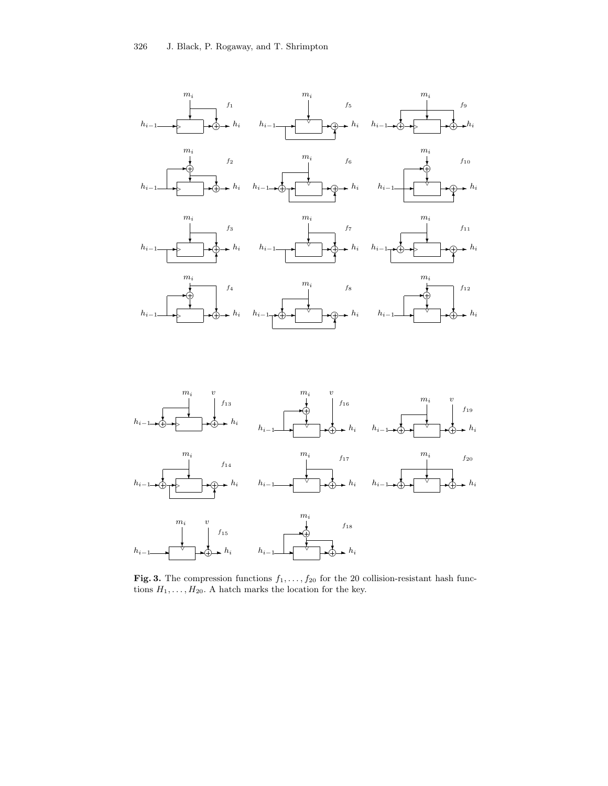



Fig. 3. The compression functions  $f_1, \ldots, f_{20}$  for the 20 collision-resistant hash functions  $H_1, \ldots, H_{20}$ . A hatch marks the location for the key.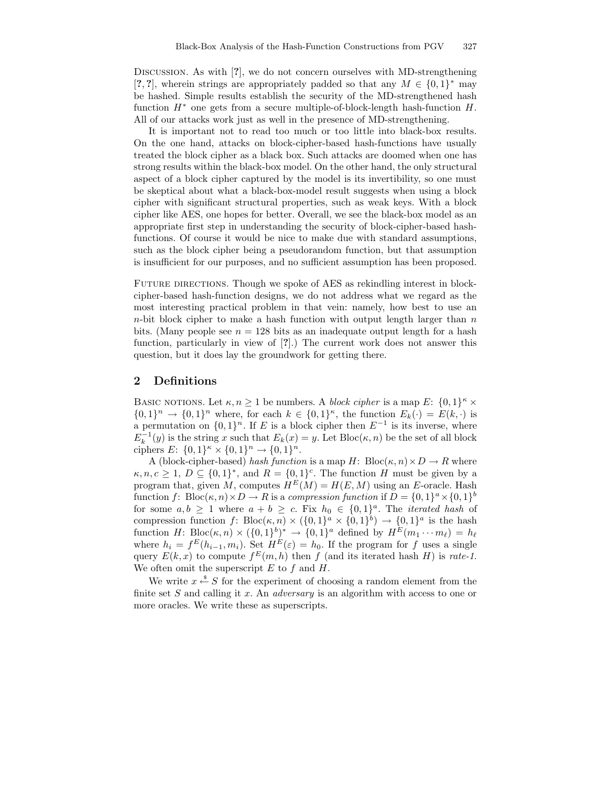Discussion. As with [?], we do not concern ourselves with MD-strengthening [?, ?], wherein strings are appropriately padded so that any  $M \in \{0,1\}^*$  may be hashed. Simple results establish the security of the MD-strengthened hash function  $H^*$  one gets from a secure multiple-of-block-length hash-function  $H$ . All of our attacks work just as well in the presence of MD-strengthening.

It is important not to read too much or too little into black-box results. On the one hand, attacks on block-cipher-based hash-functions have usually treated the block cipher as a black box. Such attacks are doomed when one has strong results within the black-box model. On the other hand, the only structural aspect of a block cipher captured by the model is its invertibility, so one must be skeptical about what a black-box-model result suggests when using a block cipher with significant structural properties, such as weak keys. With a block cipher like AES, one hopes for better. Overall, we see the black-box model as an appropriate first step in understanding the security of block-cipher-based hashfunctions. Of course it would be nice to make due with standard assumptions, such as the block cipher being a pseudorandom function, but that assumption is insufficient for our purposes, and no sufficient assumption has been proposed.

FUTURE DIRECTIONS. Though we spoke of AES as rekindling interest in blockcipher-based hash-function designs, we do not address what we regard as the most interesting practical problem in that vein: namely, how best to use an *n*-bit block cipher to make a hash function with output length larger than  $n$ bits. (Many people see  $n = 128$  bits as an inadequate output length for a hash function, particularly in view of [?].) The current work does not answer this question, but it does lay the groundwork for getting there.

#### 2 Definitions

BASIC NOTIONS. Let  $\kappa, n \ge 1$  be numbers. A block cipher is a map E:  $\{0,1\}^{\kappa} \times$  $\{0,1\}^n \to \{0,1\}^n$  where, for each  $k \in \{0,1\}^{\kappa}$ , the function  $E_k(\cdot) = E(k, \cdot)$  is a permutation on  $\{0,1\}^n$ . If E is a block cipher then  $E^{-1}$  is its inverse, where  $E_k^{-1}(y)$  is the string x such that  $E_k(x) = y$ . Let Bloc $(\kappa, n)$  be the set of all block ciphers  $E: \{0,1\}^n \times \{0,1\}^n \to \{0,1\}^n$ .

A (block-cipher-based) hash function is a map H: Bloc $(\kappa, n) \times D \to R$  where  $\kappa, n, c \geq 1, D \subseteq \{0, 1\}^*$ , and  $R = \{0, 1\}^c$ . The function H must be given by a program that, given M, computes  $H^E(M) = H(E, M)$  using an E-oracle. Hash function  $f: \text{Bloc}(\kappa, n) \times D \to R$  is a compression function if  $D = \{0, 1\}^a \times \{0, 1\}^b$ for some  $a, b \geq 1$  where  $a + b \geq c$ . Fix  $h_0 \in \{0, 1\}^a$ . The *iterated hash* of compression function  $f: \text{Bloc}(\kappa, n) \times (\{0,1\}^a \times \{0,1\}^b) \to \{0,1\}^a$  is the hash function H: Bloc $(\kappa, n) \times (\{0,1\}^b)^* \to \{0,1\}^a$  defined by  $H^E(m_1 \cdots m_\ell) = h_\ell$ where  $h_i = f^E(h_{i-1}, m_i)$ . Set  $H^E(\varepsilon) = h_0$ . If the program for f uses a single query  $E(k, x)$  to compute  $f^{E}(m, h)$  then f (and its iterated hash H) is rate-1. We often omit the superscript  $E$  to  $f$  and  $H$ .

We write  $x \stackrel{s}{\leftarrow} S$  for the experiment of choosing a random element from the finite set  $S$  and calling it  $x$ . An *adversary* is an algorithm with access to one or more oracles. We write these as superscripts.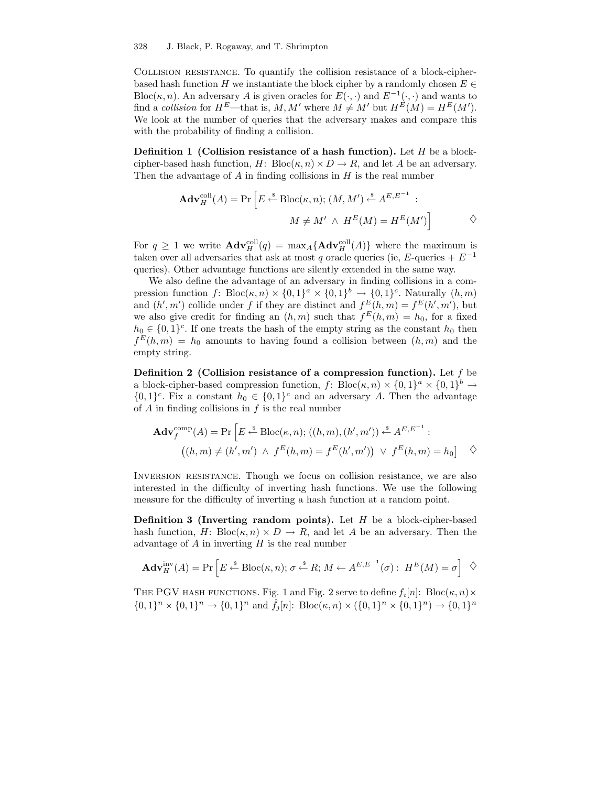Collision resistance. To quantify the collision resistance of a block-cipherbased hash function H we instantiate the block cipher by a randomly chosen  $E \in \mathcal{E}$ Bloc( $\kappa$ , n). An adversary A is given oracles for  $E(\cdot, \cdot)$  and  $E^{-1}(\cdot, \cdot)$  and wants to find a collision for  $H^E$ —that is, M, M' where  $M \neq M'$  but  $H^E(M) = H^E(M')$ . We look at the number of queries that the adversary makes and compare this with the probability of finding a collision.

**Definition 1** (Collision resistance of a hash function). Let  $H$  be a blockcipher-based hash function, H: Bloc $(\kappa, n) \times D \to R$ , and let A be an adversary. Then the advantage of  $A$  in finding collisions in  $H$  is the real number

$$
\mathbf{Adv}_{H}^{\text{coll}}(A) = \Pr\left[E \xleftarrow{\$} \text{Bloc}(\kappa, n); (M, M') \xleftarrow{\$} A^{E, E^{-1}$} : \nM \neq M' \wedge H^{E}(M) = H^{E}(M')\right]
$$

For  $q \geq 1$  we write  $\mathbf{Adv}_{H}^{coll}(q) = \max_{A} {\mathbf{Adv}_{H}^{coll}(A)}$  where the maximum is taken over all adversaries that ask at most q oracle queries (ie, E-queries +  $E^{-1}$ queries). Other advantage functions are silently extended in the same way.

We also define the advantage of an adversary in finding collisions in a compression function  $f: \text{Bloc}(\kappa, n) \times \{0,1\}^a \times \{0,1\}^b \to \{0,1\}^c$ . Naturally  $(h, m)$ and  $(h', m')$  collide under f if they are distinct and  $f^{E}(h, m) = f^{E}(h', m')$ , but we also give credit for finding an  $(h, m)$  such that  $f^{E}(h, m) = h_0$ , for a fixed  $h_0 \in \{0,1\}^c$ . If one treats the hash of the empty string as the constant  $h_0$  then  $f^{E}(h,m) = h_0$  amounts to having found a collision between  $(h,m)$  and the empty string.

**Definition 2** (Collision resistance of a compression function). Let  $f$  be a block-cipher-based compression function, f: Bloc $(\kappa, n) \times \{0, 1\}^a \times \{0, 1\}^b \rightarrow$  ${0,1}^c$ . Fix a constant  $h_0 \in {0,1}^c$  and an adversary A. Then the advantage of  $A$  in finding collisions in  $f$  is the real number

$$
\mathbf{Adv}_{f}^{\text{comp}}(A) = \Pr\left[E \xleftarrow{\$} \text{Block}(\kappa, n); ((h, m), (h', m')) \xleftarrow{\$} A^{E, E^{-1}$} :((h, m) \neq (h', m') \land f^{E}(h, m) = f^{E}(h', m')) \lor f^{E}(h, m) = h_{0}\right] \quad \diamondsuit
$$

Inversion resistance. Though we focus on collision resistance, we are also interested in the difficulty of inverting hash functions. We use the following measure for the difficulty of inverting a hash function at a random point.

**Definition 3 (Inverting random points).** Let  $H$  be a block-cipher-based hash function,  $H: \text{Bloc}(\kappa, n) \times D \to R$ , and let A be an adversary. Then the advantage of  $A$  in inverting  $H$  is the real number

$$
\mathbf{Adv}_{H}^{\mathrm{inv}}(A) = \Pr\left[E \xleftarrow{\$} \mathrm{Bloc}(\kappa, n); \sigma \xleftarrow{\$} R; M \leftarrow A^{E, E^{-1}}(\sigma): H^{E}(M) = \sigma\right] \quad \diamondsuit
$$

THE PGV HASH FUNCTIONS. Fig. 1 and Fig. 2 serve to define  $f_i[n]$ : Bloc $(\kappa, n) \times$  $\{0,1\}^n \times \{0,1\}^n \to \{0,1\}^n$  and  $\hat{f}_j[n]$ : Bloc $(\kappa, n) \times (\{0,1\}^n \times \{0,1\}^n) \to \{0,1\}^n$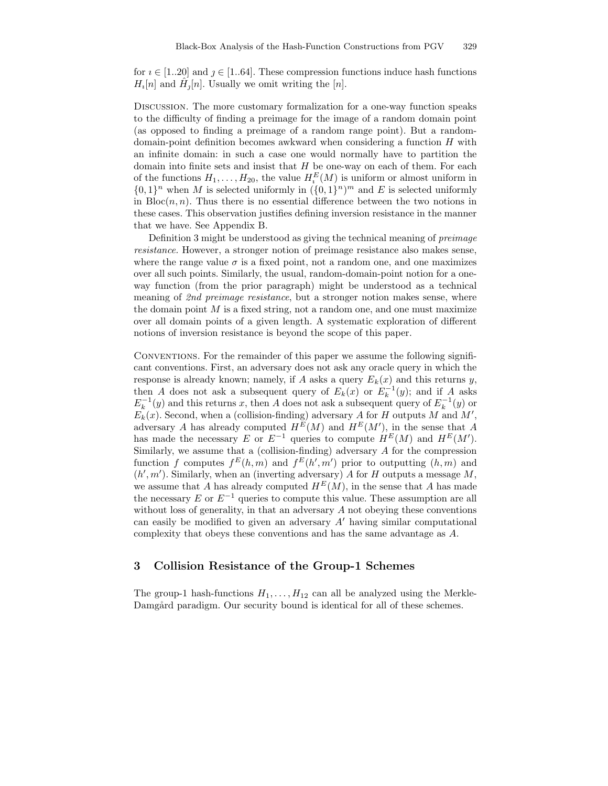for  $i \in [1..20]$  and  $j \in [1..64]$ . These compression functions induce hash functions  $H_i[n]$  and  $\hat{H}_j[n]$ . Usually we omit writing the  $[n]$ .

Discussion. The more customary formalization for a one-way function speaks to the difficulty of finding a preimage for the image of a random domain point (as opposed to finding a preimage of a random range point). But a randomdomain-point definition becomes awkward when considering a function  $H$  with an infinite domain: in such a case one would normally have to partition the domain into finite sets and insist that  $H$  be one-way on each of them. For each of the functions  $H_1, \ldots, H_{20}$ , the value  $H_i^E(M)$  is uniform or almost uniform in  $\{0,1\}^n$  when M is selected uniformly in  $(\{0,1\}^n)^m$  and E is selected uniformly in  $Bloc(n, n)$ . Thus there is no essential difference between the two notions in these cases. This observation justifies defining inversion resistance in the manner that we have. See Appendix B.

Definition 3 might be understood as giving the technical meaning of preimage resistance. However, a stronger notion of preimage resistance also makes sense, where the range value  $\sigma$  is a fixed point, not a random one, and one maximizes over all such points. Similarly, the usual, random-domain-point notion for a oneway function (from the prior paragraph) might be understood as a technical meaning of 2nd preimage resistance, but a stronger notion makes sense, where the domain point  $M$  is a fixed string, not a random one, and one must maximize over all domain points of a given length. A systematic exploration of different notions of inversion resistance is beyond the scope of this paper.

Conventions. For the remainder of this paper we assume the following significant conventions. First, an adversary does not ask any oracle query in which the response is already known; namely, if A asks a query  $E_k(x)$  and this returns y, then A does not ask a subsequent query of  $E_k(x)$  or  $E_k^{-1}(y)$ ; and if A asks  $E_k^{-1}(y)$  and this returns x, then A does not ask a subsequent query of  $E_k^{-1}(y)$  or  $E_k(x)$ . Second, when a (collision-finding) adversary A for H outputs M and M', adversary A has already computed  $H^E(M)$  and  $H^E(M')$ , in the sense that A has made the necessary E or  $E^{-1}$  queries to compute  $H^E(M)$  and  $H^E(M')$ . Similarly, we assume that a (collision-finding) adversary A for the compression function f computes  $f^E(h,m)$  and  $f^E(h',m')$  prior to outputting  $(h,m)$  and  $(h', m')$ . Similarly, when an (inverting adversary) A for H outputs a message M, we assume that A has already computed  $H^E(M)$ , in the sense that A has made the necessary E or  $E^{-1}$  queries to compute this value. These assumption are all without loss of generality, in that an adversary  $A$  not obeying these conventions can easily be modified to given an adversary  $A'$  having similar computational complexity that obeys these conventions and has the same advantage as A.

#### 3 Collision Resistance of the Group-1 Schemes

The group-1 hash-functions  $H_1, \ldots, H_{12}$  can all be analyzed using the Merkle-Damgård paradigm. Our security bound is identical for all of these schemes.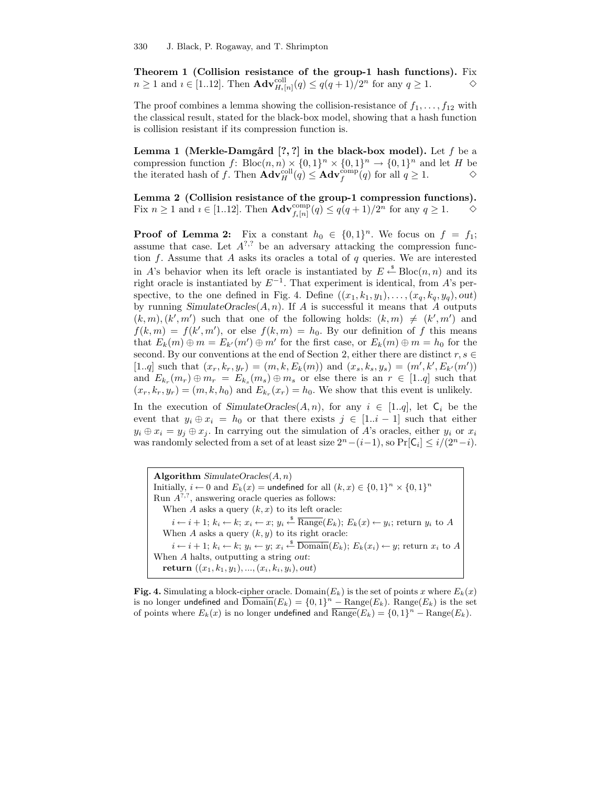Theorem 1 (Collision resistance of the group-1 hash functions). Fix  $n \geq 1$  and  $i \in [1..12]$ . Then  $\mathbf{Adv}_{H_i[n]}^{\text{coll}}(q) \leq q(q+1)/2^n$  for any  $q \geq 1$ .  $\diamond$ 

The proof combines a lemma showing the collision-resistance of  $f_1, \ldots, f_{12}$  with the classical result, stated for the black-box model, showing that a hash function is collision resistant if its compression function is.

Lemma 1 (Merkle-Damgård  $[?, ?]$  in the black-box model). Let f be a compression function  $f: \text{Bloc}(n, n) \times \{0, 1\}^n \times \{0, 1\}^n \to \{0, 1\}^n$  and let H be the iterated hash of f. Then  $\mathbf{Adv}_{H}^{\text{coll}}(q) \leq \mathbf{Adv}_{f}^{\text{comp}}(q)$  for all  $q \geq 1$ .  $\diamond$ 

Lemma 2 (Collision resistance of the group-1 compression functions). Fix  $n \geq 1$  and  $i \in [1..12]$ . Then  $\mathbf{Adv}_{f_i[n]}^{\text{comp}}(q) \leq q(q+1)/2^n$  for any  $q \geq 1$ .  $\diamond$ 

**Proof of Lemma 2:** Fix a constant  $h_0 \in \{0, 1\}^n$ . We focus on  $f = f_1$ ; assume that case. Let  $A^{?,?}$  be an adversary attacking the compression function f. Assume that A asks its oracles a total of  $q$  queries. We are interested in A's behavior when its left oracle is instantiated by  $E \stackrel{\text{s}}{\leftarrow} \text{Bloc}(n, n)$  and its right oracle is instantiated by  $E^{-1}$ . That experiment is identical, from A's perspective, to the one defined in Fig. 4. Define  $((x_1, k_1, y_1), \ldots, (x_q, k_q, y_q), \text{out})$ by running  $SimulateOracles(A, n)$ . If A is successful it means that A outputs  $(k,m), (k',m')$  such that one of the following holds:  $(k,m) \neq (k',m')$  and  $f(k,m) = f(k',m')$ , or else  $f(k,m) = h_0$ . By our definition of f this means that  $E_k(m) \oplus m = E_{k'}(m') \oplus m'$  for the first case, or  $E_k(m) \oplus m = h_0$  for the second. By our conventions at the end of Section 2, either there are distinct  $r, s \in$ [1.d] such that  $(x_r, k_r, y_r) = (m, k, E_k(m))$  and  $(x_s, k_s, y_s) = (m', k', E_{k'}(m'))$ and  $E_{k_r}(m_r) \oplus m_r = E_{k_s}(m_s) \oplus m_s$  or else there is an  $r \in [1..q]$  such that  $(x_r, k_r, y_r) = (m, k, h_0)$  and  $E_{k_r}(x_r) = h_0$ . We show that this event is unlikely.

In the execution of SimulateOracles(A, n), for any  $i \in [1..q]$ , let  $C_i$  be the event that  $y_i \oplus x_i = h_0$  or that there exists  $j \in [1..i-1]$  such that either  $y_i \oplus x_i = y_j \oplus x_j$ . In carrying out the simulation of A's oracles, either  $y_i$  or  $x_i$ was randomly selected from a set of at least size  $2^n - (i-1)$ , so  $Pr[\mathsf{C}_i] \leq i/(2^n - i)$ .

Algorithm  $SimulateOracle(A, n)$ Initially,  $i \leftarrow 0$  and  $E_k(x) =$  undefined for all  $(k, x) \in \{0, 1\}^n \times \{0, 1\}^n$ Run  $A^{7,7}$ , answering oracle queries as follows: When  $A$  asks a query  $(k, x)$  to its left oracle:  $i \leftarrow i+1$ ;  $k_i \leftarrow k$ ;  $x_i \leftarrow x$ ;  $y_i \stackrel{\$}{\leftarrow} \text{Range}(E_k)$ ;  $E_k(x) \leftarrow y_i$ ; return  $y_i$  to A When  $A$  asks a query  $(k, y)$  to its right oracle:  $i \leftarrow i+1; k_i \leftarrow k; y_i \leftarrow y; x_i \stackrel{\$}{\leftarrow} \overline{\text{Domain}}(E_k); E_k(x_i) \leftarrow y; \text{ return } x_i \text{ to } A$ When A halts, outputting a string out: return  $((x_1, k_1, y_1), ..., (x_i, k_i, y_i),$  out)

Fig. 4. Simulating a block-cipher oracle. Domain( $E_k$ ) is the set of points x where  $E_k(x)$ is no longer undefined and  $\overline{\text{Domain}}(E_k) = \{0,1\}^n - \text{Range}(E_k)$ . Range $(E_k)$  is the set of points where  $E_k(x)$  is no longer undefined and  $\overline{\text{Range}}(E_k) = \{0,1\}^n - \text{Range}(E_k)$ .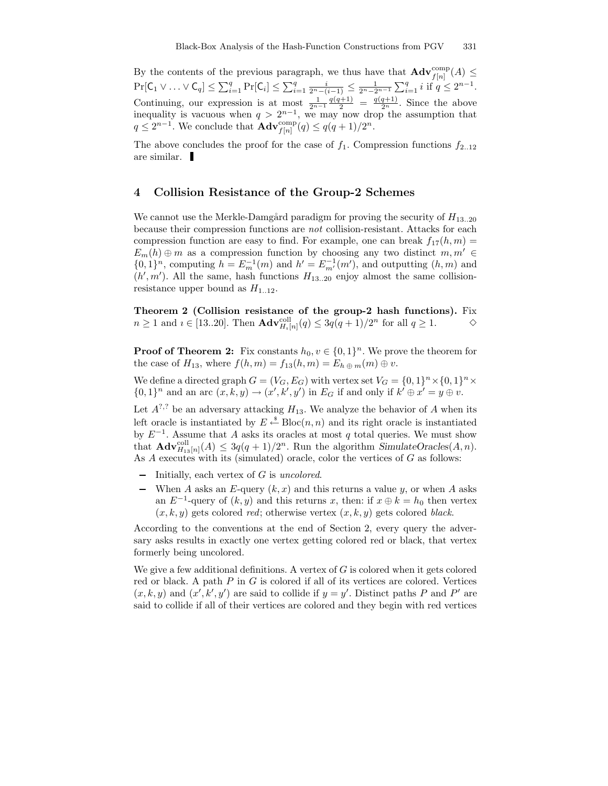By the contents of the previous paragraph, we thus have that  $\mathbf{Adv}_{f[n]}^{\text{comp}}(A) \leq$  $Pr[C_1 \vee \ldots \vee C_q] \leq \sum_{i=1}^q Pr[C_i] \leq \sum_{i=1}^q \frac{i}{2^n - (i-1)} \leq \frac{1}{2^n - 2^{n-1}} \sum_{i=1}^q i$  if  $q \leq 2^{n-1}$ . Continuing, our expression is at most  $\frac{1}{2^{n-1}} \frac{q(q+1)}{2} = \frac{q(q+1)}{2^n}$ . Since the above inequality is vacuous when  $q > 2^{n-1}$ , we may now drop the assumption that  $q \leq 2^{n-1}$ . We conclude that  $\mathbf{Adv}_{f[n]}^{\text{comp}}(q) \leq q(q+1)/2^n$ .

The above concludes the proof for the case of  $f_1$ . Compression functions  $f_{2...12}$ are similar.

### 4 Collision Resistance of the Group-2 Schemes

We cannot use the Merkle-Damgård paradigm for proving the security of  $H_{13..20}$ because their compression functions are not collision-resistant. Attacks for each compression function are easy to find. For example, one can break  $f_{17}(h, m) =$  $E_m(h) \oplus m$  as a compression function by choosing any two distinct  $m, m' \in$  ${0, 1}<sup>n</sup>$ , computing  $h = E_m^{-1}(m)$  and  $h' = E_{m'}^{-1}(m')$ , and outputting  $(h, m)$  and  $(h', m')$ . All the same, hash functions  $H_{13..20}$  enjoy almost the same collisionresistance upper bound as  $H_{1..12}$ .

Theorem 2 (Collision resistance of the group-2 hash functions). Fix  $n \geq 1$  and  $i \in [13..20]$ . Then  $\mathbf{Adv}_{H_i[n]}^{\text{coll}}(q) \leq 3q(q+1)/2^n$  for all  $q \geq 1$ .  $\diamond$ 

**Proof of Theorem 2:** Fix constants  $h_0, v \in \{0, 1\}^n$ . We prove the theorem for the case of  $H_{13}$ , where  $f(h,m) = f_{13}(h,m) = E_{h \oplus m}(m) \oplus v$ .

We define a directed graph  $G = (V_G, E_G)$  with vertex set  $V_G = \{0, 1\}^n \times \{0, 1\}^n \times$  $\{0,1\}^n$  and an arc  $(x, k, y) \rightarrow (x', k', y')$  in  $E_G$  if and only if  $k' \oplus x' = y \oplus v$ .

Let  $A^{?,?}$  be an adversary attacking  $H_{13}$ . We analyze the behavior of A when its left oracle is instantiated by  $E \stackrel{\text{d}}{\leftarrow} \text{Bloc}(n, n)$  and its right oracle is instantiated by  $E^{-1}$ . Assume that A asks its oracles at most q total queries. We must show that  $\mathbf{Adv}_{H_{13}[n]}^{\text{coll}}(A) \leq 3q(q+1)/2^n$ . Run the algorithm SimulateOracles(A, n). As  $A$  executes with its (simulated) oracle, color the vertices of  $G$  as follows:

- Initially, each vertex of  $G$  is uncolored.
- When A asks an E-query  $(k, x)$  and this returns a value y, or when A asks Ξ. an  $E^{-1}$ -query of  $(k, y)$  and this returns x, then: if  $x \oplus k = h_0$  then vertex  $(x, k, y)$  gets colored red; otherwise vertex  $(x, k, y)$  gets colored black.

According to the conventions at the end of Section 2, every query the adversary asks results in exactly one vertex getting colored red or black, that vertex formerly being uncolored.

We give a few additional definitions. A vertex of  $G$  is colored when it gets colored red or black. A path  $P$  in  $G$  is colored if all of its vertices are colored. Vertices  $(x, k, y)$  and  $(x', k', y')$  are said to collide if  $y = y'$ . Distinct paths P and P' are said to collide if all of their vertices are colored and they begin with red vertices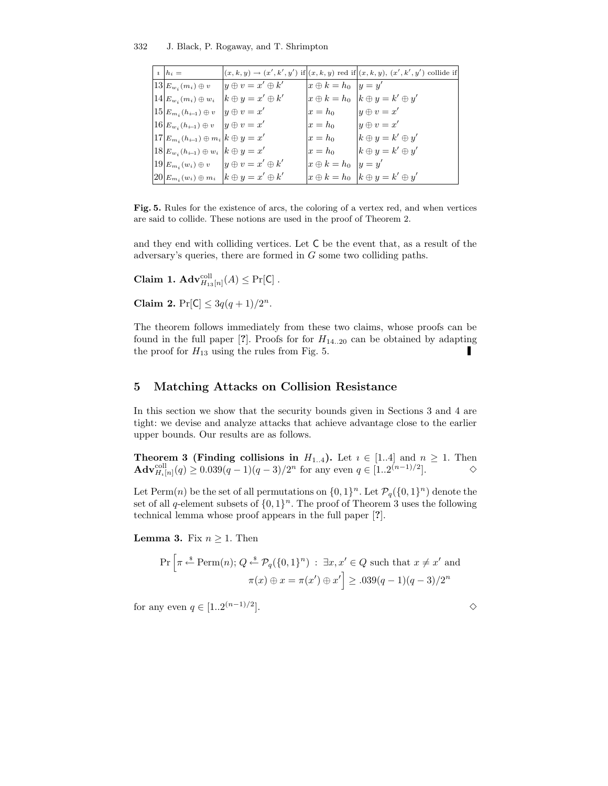|  | $i \; h_i =$                                               |                                                             |                             | $(x, k, y) \rightarrow (x', k', y')$ if $(x, k, y)$ red if $(x, k, y)$ , $(x', k', y')$ collide if |
|--|------------------------------------------------------------|-------------------------------------------------------------|-----------------------------|----------------------------------------------------------------------------------------------------|
|  |                                                            | $13 E_{w_i}(m_i) \oplus v \quad  y \oplus v = x' \oplus k'$ | $x \oplus k = h_0$ $y = y'$ |                                                                                                    |
|  | $14\,E_{w_i}(m_i)\oplus w_i$                               | $k \oplus y = x' \oplus k'$                                 |                             | $x \oplus k = h_0 \mid k \oplus y = k' \oplus y'$                                                  |
|  | $15 E_{m_i}(h_{i-1}) \oplus v \mid y \oplus v = x'$        |                                                             | $x = h_0$                   | $y \oplus v = x'$                                                                                  |
|  | $16 \big  E_{w_i}(h_{i-1}) \oplus v \big  y \oplus v = x'$ |                                                             | $x = h_0$                   | $y \oplus v = x'$                                                                                  |
|  | $17E_{m_i}(h_{i-1}) \oplus m_i k \oplus y = x'$            |                                                             | $x = h_0$                   | $k \oplus y = k' \oplus y'$                                                                        |
|  | $18 E_{w_i}(h_{i-1}) \oplus w_i  k \oplus y = x'$          |                                                             | $x = h_0$                   | $k \oplus y = k' \oplus y'$                                                                        |
|  |                                                            | $19 E_{m_i}(w_i) \oplus v \qquad y \oplus v = x' \oplus k'$ | $x \oplus k = h_0$ $y = y'$ |                                                                                                    |
|  |                                                            | $20E_{m_i}(w_i)\oplus m_i$ $k\oplus y=x'\oplus k'$          |                             | $x \oplus k = h_0 \mid k \oplus y = k' \oplus y'$                                                  |

Fig. 5. Rules for the existence of arcs, the coloring of a vertex red, and when vertices are said to collide. These notions are used in the proof of Theorem 2.

and they end with colliding vertices. Let C be the event that, as a result of the adversary's queries, there are formed in  $G$  some two colliding paths.

Claim 1.  $\mathbf{Adv}_{H_{13}[n]}^{\text{coll}}(A) \leq \Pr[\mathsf{C}]$  .

Claim 2.  $Pr[C] \leq 3q(q+1)/2^n$ .

The theorem follows immediately from these two claims, whose proofs can be found in the full paper [?]. Proofs for for  $H_{14..20}$  can be obtained by adapting the proof for  $H_{13}$  using the rules from Fig. 5. П

## 5 Matching Attacks on Collision Resistance

In this section we show that the security bounds given in Sections 3 and 4 are tight: we devise and analyze attacks that achieve advantage close to the earlier upper bounds. Our results are as follows.

**Theorem 3 (Finding collisions in**  $H_{1..4}$ ). Let  $i \in [1..4]$  and  $n \ge 1$ . Then  $\mathbf{Adv}_{H_{i}[n]}^{\text{coll}}(q) \ge 0.039(q-1)(q-3)/2^{n}$  for any even  $q \in [1..2^{(n-1)/2}]$ .  $\diamond$ 

Let Perm $(n)$  be the set of all permutations on  $\{0,1\}^n$ . Let  $\mathcal{P}_q(\{0,1\}^n)$  denote the set of all q-element subsets of  $\{0,1\}^n$ . The proof of Theorem 3 uses the following technical lemma whose proof appears in the full paper [?].

**Lemma 3.** Fix  $n \geq 1$ . Then

$$
\Pr\left[\pi \stackrel{\text{s}}{\leftarrow} \text{Perm}(n); Q \stackrel{\text{s}}{\leftarrow} \mathcal{P}_q(\{0, 1\}^n) \; : \; \exists x, x' \in Q \text{ such that } x \neq x' \text{ and } \right.\n\qquad\n\pi(x) \oplus x = \pi(x') \oplus x' \right] \geq .039(q - 1)(q - 3)/2^n
$$

for any even  $q \in [1..2^{(n-1)/2}]$ 

].  $\Diamond$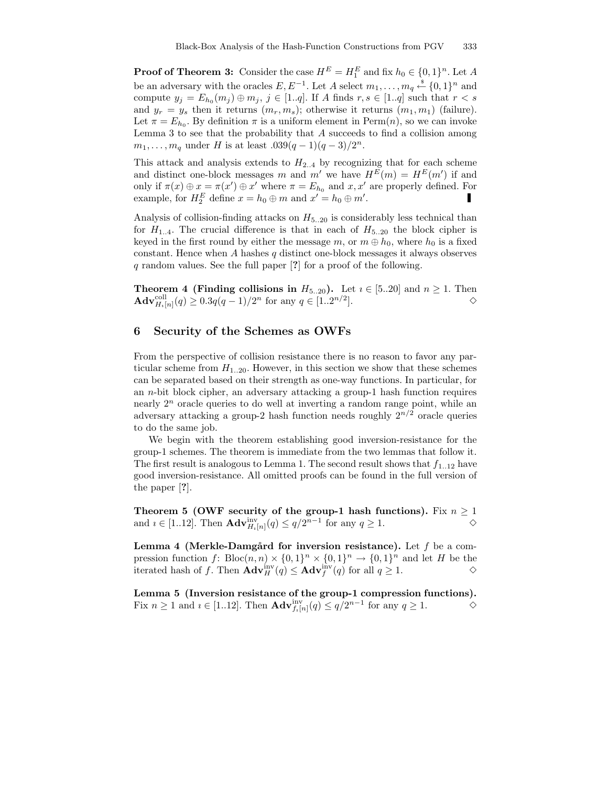**Proof of Theorem 3:** Consider the case  $H^E = H_1^E$  and fix  $h_0 \in \{0, 1\}^n$ . Let A be an adversary with the oracles  $E, E^{-1}$ . Let A select  $m_1, \ldots, m_q \stackrel{s}{\leftarrow} \{0,1\}^n$  and compute  $y_j = E_{h_0}(m_j) \oplus m_j$ ,  $j \in [1..q]$ . If A finds  $r, s \in [1..q]$  such that  $r < s$ and  $y_r = y_s$  then it returns  $(m_r, m_s)$ ; otherwise it returns  $(m_1, m_1)$  (failure). Let  $\pi = E_{h_0}$ . By definition  $\pi$  is a uniform element in  $\text{Perm}(n)$ , so we can invoke Lemma 3 to see that the probability that A succeeds to find a collision among  $m_1, \ldots, m_q$  under H is at least  $.039(q-1)(q-3)/2^n$ .

This attack and analysis extends to  $H_{2..4}$  by recognizing that for each scheme and distinct one-block messages m and m' we have  $H^E(m) = H^E(m')$  if and only if  $\pi(x) \oplus x = \pi(x') \oplus x'$  where  $\pi = E_{h_0}$  and  $x, x'$  are properly defined. For example, for  $H_2^E$  define  $x = h_0 \oplus m$  and  $x' = h_0 \oplus m'$ .

Analysis of collision-finding attacks on  $H_{5..20}$  is considerably less technical than for  $H_{1,4}$ . The crucial difference is that in each of  $H_{5,20}$  the block cipher is keyed in the first round by either the message m, or  $m \oplus h_0$ , where  $h_0$  is a fixed constant. Hence when A hashes q distinct one-block messages it always observes q random values. See the full paper [?] for a proof of the following.

**Theorem 4 (Finding collisions in**  $H_{5..20}$ ). Let  $i \in [5..20]$  and  $n \ge 1$ . Then  $\mathbf{Adv}_{H_{i}[n]}^{\text{coll}}(q) \geq 0.3q(q-1)/2^{n} \text{ for any } q \in [1..2^{n/2}]$ ].  $\Diamond$ 

#### 6 Security of the Schemes as OWFs

From the perspective of collision resistance there is no reason to favor any particular scheme from  $H_{1,20}$ . However, in this section we show that these schemes can be separated based on their strength as one-way functions. In particular, for an n-bit block cipher, an adversary attacking a group-1 hash function requires nearly  $2<sup>n</sup>$  oracle queries to do well at inverting a random range point, while an adversary attacking a group-2 hash function needs roughly  $2^{n/2}$  oracle queries to do the same job.

We begin with the theorem establishing good inversion-resistance for the group-1 schemes. The theorem is immediate from the two lemmas that follow it. The first result is analogous to Lemma 1. The second result shows that  $f_{1..12}$  have good inversion-resistance. All omitted proofs can be found in the full version of the paper [?].

Theorem 5 (OWF security of the group-1 hash functions). Fix  $n \geq 1$ and  $i \in [1..12]$ . Then  $\mathbf{Adv}_{H_i[n]}^{\text{inv}}(q) \le q/2^{n-1}$  for any  $q \ge 1$ .  $\diamond$ 

Lemma 4 (Merkle-Damgård for inversion resistance). Let  $f$  be a compression function  $f: \text{Bloc}(n, n) \times \{0, 1\}^n \times \{0, 1\}^n \to \{0, 1\}^n$  and let H be the iterated hash of f. Then  $\mathbf{Adv}_{H}^{\text{inv}}(q) \leq \mathbf{Adv}_{f}^{\text{inv}}(q)$  for all  $q \geq 1$ .

Lemma 5 (Inversion resistance of the group-1 compression functions). Fix  $n \geq 1$  and  $i \in [1..12]$ . Then  $\mathbf{Adv}_{f_i[n]}^{\text{inv}}(q) \leq q/2^{n-1}$  for any  $q \geq 1$ .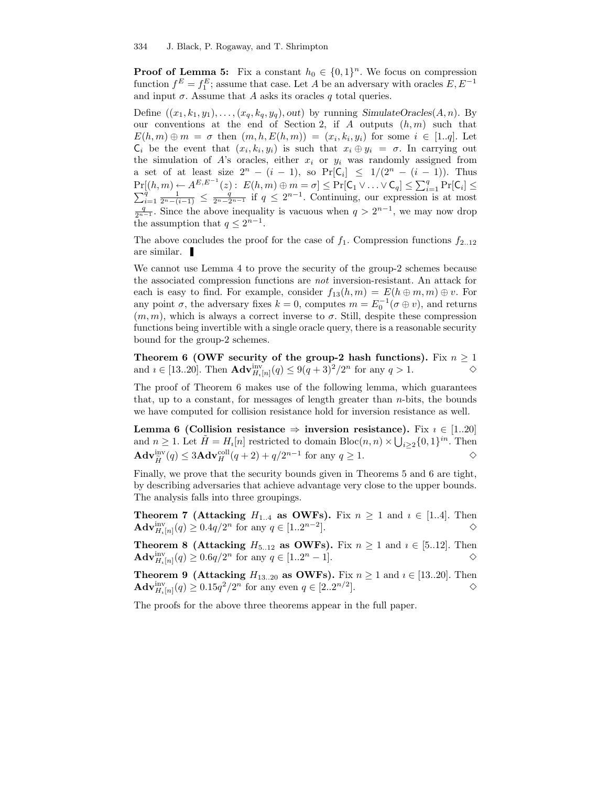**Proof of Lemma 5:** Fix a constant  $h_0 \in \{0, 1\}^n$ . We focus on compression function  $f^E = f_1^E$ ; assume that case. Let A be an adversary with oracles  $E, E^{-1}$ and input  $\sigma$ . Assume that A asks its oracles q total queries.

Define  $((x_1, k_1, y_1), \ldots, (x_q, k_q, y_q), \text{out})$  by running SimulateOracles(A, n). By our conventions at the end of Section 2, if A outputs  $(h, m)$  such that  $E(h,m) \oplus m = \sigma$  then  $(m,h,E(h,m)) = (x_i,k_i,y_i)$  for some  $i \in [1..q]$ . Let  $C_i$  be the event that  $(x_i, k_i, y_i)$  is such that  $x_i \oplus y_i = \sigma$ . In carrying out the simulation of A's oracles, either  $x_i$  or  $y_i$  was randomly assigned from a set of at least size  $2^n - (i - 1)$ , so  $Pr[\mathsf{C}_i] \leq 1/(2^n - (i - 1))$ . Thus  $\Pr[(h,m) \leftarrow A^{E,E^{-1}}(z): E(h,m) \oplus m = \sigma] \leq \Pr[\mathsf{C}_1 \vee \ldots \vee \mathsf{C}_q] \leq \sum_{i=1}^q \Pr[\mathsf{C}_i]$ <br>  $\sum_{i=1}^q \sum_{j=1}^q \sum_{j=1}^q \mathsf{C}_i = \sum_{i=1}^q \mathsf{C}_i \otimes \mathsf{C}_i$  of  $\sigma \geq 2^{n-1}$ . Continuing, our expression is at m  $[(h,m) \leftarrow A^{E,E^{-1}}(z): E(h,m) \oplus m = \sigma] \leq \Pr[C_1 \vee \ldots \vee C_q] \leq \sum_{i=1}^q \Pr[C_i] \leq$  $\frac{q}{q-1}$   $\frac{1}{2^n-(i-1)} \leq \frac{q}{2^n-2^{n-1}}$  if  $q \leq 2^{n-1}$ . Continuing, our expression is at most  $\frac{q}{2^{n-1}}$ . Since the above inequality is vacuous when  $q > 2^{n-1}$ , we may now drop the assumption that  $q \leq 2^{n-1}$ .

The above concludes the proof for the case of  $f_1$ . Compression functions  $f_{2...12}$ are similar.

We cannot use Lemma 4 to prove the security of the group-2 schemes because the associated compression functions are not inversion-resistant. An attack for each is easy to find. For example, consider  $f_{13}(h,m) = E(h \oplus m, m) \oplus v$ . For any point  $\sigma$ , the adversary fixes  $k = 0$ , computes  $m = E_0^{-1}(\sigma \oplus v)$ , and returns  $(m, m)$ , which is always a correct inverse to  $\sigma$ . Still, despite these compression functions being invertible with a single oracle query, there is a reasonable security bound for the group-2 schemes.

Theorem 6 (OWF security of the group-2 hash functions). Fix  $n \geq 1$ and  $i \in [13..20]$ . Then  $\text{Adv}_{H_i[n]}^{\text{inv}}(q) \leq 9(q+3)^2/2^n$  for any  $q > 1$ .  $\diamond$ 

The proof of Theorem 6 makes use of the following lemma, which guarantees that, up to a constant, for messages of length greater than  $n$ -bits, the bounds we have computed for collision resistance hold for inversion resistance as well.

Lemma 6 (Collision resistance  $\Rightarrow$  inversion resistance). Fix  $i \in [1..20]$ and  $n \geq 1$ . Let  $\tilde{H} = H_i[n]$  restricted to domain  $Bloc(n, n) \times \bigcup_{i \geq 2}^{\infty} \{0, 1\}^{in}$ . Then  $\mathbf{Adv}_{\widetilde{H}}^{\text{inv}}(q) \leq 3\mathbf{Adv}_{H}^{\text{coll}}(q+2) + q/2^{n-1}$  for any  $q \geq 1$ .  $\diamondsuit$ 

Finally, we prove that the security bounds given in Theorems 5 and 6 are tight, by describing adversaries that achieve advantage very close to the upper bounds. The analysis falls into three groupings.

**Theorem 7 (Attacking**  $H_{1,4}$  **as OWFs).** Fix  $n \geq 1$  and  $i \in [1..4]$ . Then Adv $_{H_i[n]}^{inv}(q) \ge 0.4q/2^n$  for any  $q \in [1..2^{n-2}]$ .  $\diamond$ 

**Theorem 8 (Attacking**  $H_{5,12}$  **as OWFs).** Fix  $n \geq 1$  and  $i \in [5,12]$ . Then  $\mathbf{Adv}_{H_{i}[n]}^{\text{inv}}(q) \ge 0.6q/2^{n} \text{ for any } q \in [1..2^{n}-1].$ 

**Theorem 9 (Attacking**  $H_{13..20}$  **as OWFs).** Fix  $n \ge 1$  and  $i \in [13..20]$ . Then  $\mathbf{Adv}_{H_{i}[n]}^{\text{inv}}(q) \ge 0.15q^2/2^n$  for any even  $q \in [2..2^{n/2}]$ .

The proofs for the above three theorems appear in the full paper.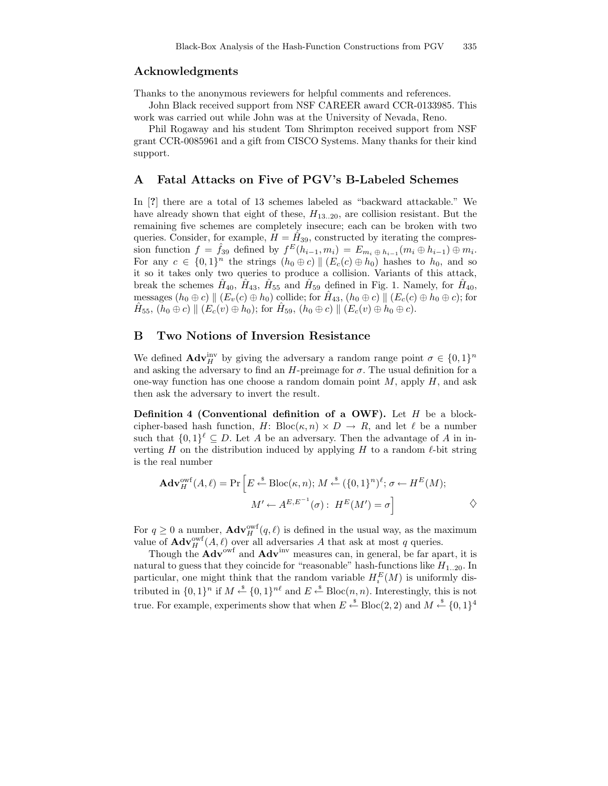## Acknowledgments

Thanks to the anonymous reviewers for helpful comments and references.

John Black received support from NSF CAREER award CCR-0133985. This work was carried out while John was at the University of Nevada, Reno.

Phil Rogaway and his student Tom Shrimpton received support from NSF grant CCR-0085961 and a gift from CISCO Systems. Many thanks for their kind support.

#### A Fatal Attacks on Five of PGV's B-Labeled Schemes

In [?] there are a total of 13 schemes labeled as "backward attackable." We have already shown that eight of these,  $H_{13,20}$ , are collision resistant. But the remaining five schemes are completely insecure; each can be broken with two queries. Consider, for example,  $H = \hat{H}_{39}$ , constructed by iterating the compression function  $f = \hat{f}_{39}$  defined by  $f^E(h_{i-1}, m_i) = E_{m_i \oplus h_{i-1}}(m_i \oplus h_{i-1}) \oplus m_i$ . For any  $c \in \{0,1\}^n$  the strings  $(h_0 \oplus c) \parallel (E_c(c) \oplus h_0)$  hashes to  $h_0$ , and so it so it takes only two queries to produce a collision. Variants of this attack, break the schemes  $\hat{H}_{40}$ ,  $\hat{H}_{43}$ ,  $\hat{H}_{55}$  and  $\hat{H}_{59}$  defined in Fig. 1. Namely, for  $\hat{H}_{40}$ , messages  $(h_0 \oplus c) \parallel (E_v(c) \oplus h_0)$  collide; for  $\hat{H}_{43}$ ,  $(h_0 \oplus c) \parallel (E_c(c) \oplus h_0 \oplus c)$ ; for  $\hat{H}_{55},\, (h_{0}\oplus c)\parallel (E_{c}(v)\oplus h_{0});\, {\rm for}\,\, \hat{H}_{59},\, (h_{0}\oplus c)\parallel (E_{c}(v)\oplus h_{0}\oplus c).$ 

## B Two Notions of Inversion Resistance

We defined  $\mathbf{Adv}_{H}^{\text{inv}}$  by giving the adversary a random range point  $\sigma \in \{0,1\}^{n}$ and asking the adversary to find an  $H$ -preimage for  $\sigma$ . The usual definition for a one-way function has one choose a random domain point  $M$ , apply  $H$ , and ask then ask the adversary to invert the result.

Definition 4 (Conventional definition of a OWF). Let  $H$  be a blockcipher-based hash function, H: Bloc $(\kappa, n) \times D \to R$ , and let  $\ell$  be a number such that  $\{0,1\}^{\ell} \subseteq D$ . Let A be an adversary. Then the advantage of A in inverting H on the distribution induced by applying H to a random  $\ell$ -bit string is the real number

$$
\mathbf{Adv}_{H}^{\text{owf}}(A,\ell) = \Pr\left[E \xleftarrow{\$} \text{Bloc}(\kappa, n); M \xleftarrow{\$} (\{0,1\}^{n})^{\ell}; \sigma \leftarrow H^{E}(M);
$$

$$
M' \leftarrow A^{E,E^{-1}}(\sigma): H^{E}(M') = \sigma\right]
$$

For  $q \geq 0$  a number,  $\mathbf{Adv}_{H}^{\text{owf}}(q, \ell)$  is defined in the usual way, as the maximum value of  $\mathbf{Adv}^{\text{owf}}_H(A, \ell)$  over all adversaries A that ask at most q queries.

Though the  $\text{Adv}^{\text{owf}}$  and  $\text{Adv}^{\text{inv}}$  measures can, in general, be far apart, it is natural to guess that they coincide for "reasonable" hash-functions like  $H_{1..20}$ . In particular, one might think that the random variable  $H_i^E(M)$  is uniformly distributed in  $\{0,1\}^n$  if  $M \stackrel{\$}{\leftarrow} \{0,1\}^{n\ell}$  and  $E \stackrel{\$}{\leftarrow} \text{Bloc}(n,n)$ . Interestingly, this is not true. For example, experiments show that when  $E \overset{\hspace{0.1em}\mathsf{\scriptscriptstyle\$}}{\leftarrow} \mathrm{Bloc}(2,2)$  and  $M \overset{\hspace{0.1em}\mathsf{\scriptscriptstyle\$}}{\leftarrow} \{0,1\}^4$